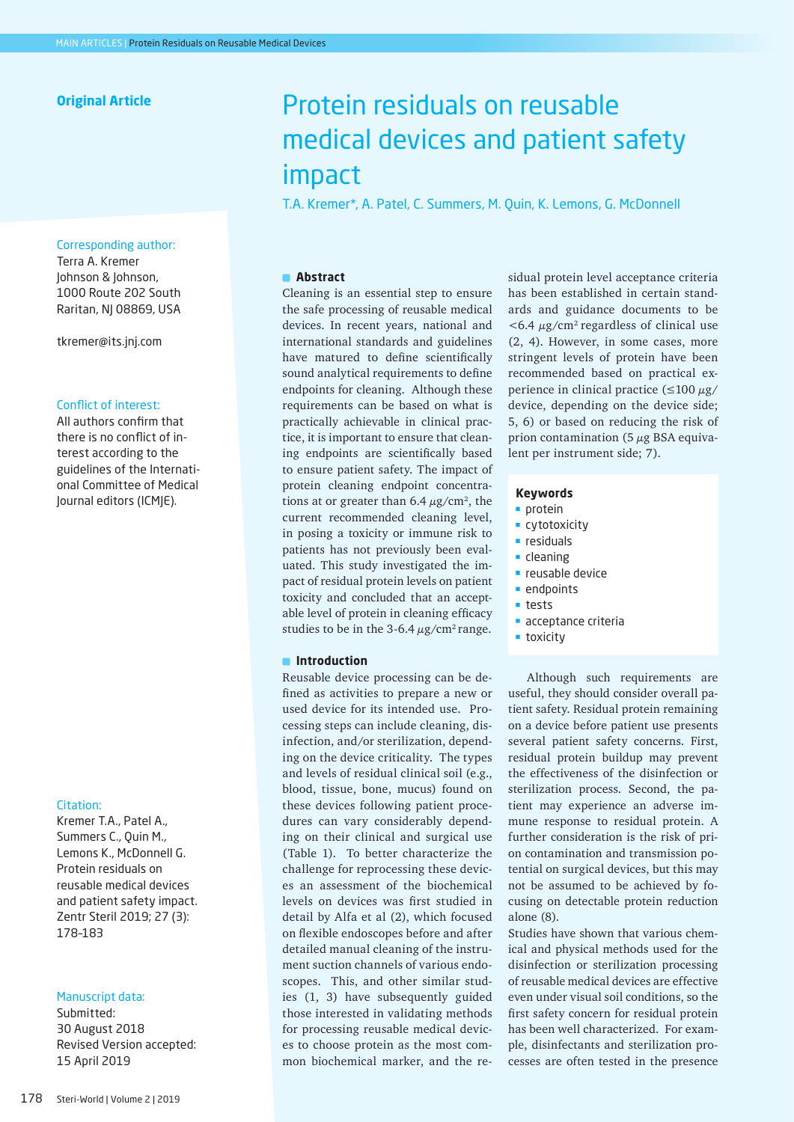# **Original Article**

## Corresponding author:

Terra A. Kremer Johnson & Johnson, 1000 Route 202 South Raritan, NJ 08869, USA

tkremer@its.jnj.com

## Conflict of interest:

All authors confirm that there is no conflict of in terest according to the guidelines of the Internati onal Committee of Medical Journal editors (ICMJE).

#### Citation:

Kremer T.A., Patel A., Summers C., Quin M., Lemons K., McDonnell G. Protein residuals on reusable medical devices and patient safety impact. Zentr Steril 2019; 27 (3): 178–183

## Manuscript data:

Submitted: 30 August 2018 Revised Version accepted: 15 April 2019

# Protein residuals on reusable medical devices and patient safety impact

T.A. Kremer\*, A. Patel, C. Summers, M. Quin, K. Lemons, G. McDonnell

#### **Abstract**

Cleaning is an essential step to ensure the safe processing of reusable medical devices. In recent years, national and international standards and guidelines have matured to define scientifically sound analytical requirements to define endpoints for cleaning. Although these requirements can be based on what is practically achievable in clinical prac tice, it is important to ensure that clean ing endpoints are scientifically based to ensure patient safety. The impact of protein cleaning endpoint concentra tions at or greater than  $6.4 \ \mu g/cm^2$ , the current recommended cleaning level, in posing a toxicity or immune risk to patients has not previously been eval uated. This study investigated the im pact of residual protein levels on patient toxicity and concluded that an accept able level of protein in cleaning efficacy studies to be in the 3-6.4  $\mu$ g/cm<sup>2</sup> range.

#### $\blacksquare$  Introduction

Reusable device processing can be de fined as activities to prepare a new or used device for its intended use. Pro cessing steps can include cleaning, dis infection, and/or sterilization, depend ing on the device criticality. The types and levels of residual clinical soil (e.g., blood, tissue, bone, mucus) found on these devices following patient proce dures can vary considerably depend ing on their clinical and surgical use (Table 1). To better characterize the challenge for reprocessing these devic es an assessment of the biochemical levels on devices was first studied in detail by Alfa et al (2), which focused on flexible endoscopes before and after detailed manual cleaning of the instru ment suction channels of various endo scopes. This, and other similar stud ies (1, 3) have subsequently guided those interested in validating methods for processing reusable medical devic es to choose protein as the most com mon biochemical marker, and the re -

sidual protein level acceptance criteria has been established in certain stand ards and guidance documents to be  $<$  6.4  $\mu$ g/cm<sup>2</sup> regardless of clinical use (2, 4). However, in some cases, more stringent levels of protein have been recommended based on practical ex perience in clinical practice  $(\leq 100 \mu g$ / device, depending on the device side; 5, 6) or based on reducing the risk of prion contamination (5  $\mu$ g BSA equivalent per instrument side; 7).

#### **Keywords**

- $\blacksquare$  protein
- **cytotoxicity**
- **residuals**
- cleaning
- **reusable device**
- **endpoints**
- tests
- acceptance criteria
- **toxicity**

Although such requirements are useful, they should consider overall pa tient safety. Residual protein remaining on a device before patient use presents several patient safety concerns. First, residual protein buildup may prevent the effectiveness of the disinfection or sterilization process. Second, the pa tient may experience an adverse im mune response to residual protein. A further consideration is the risk of pri on contamination and transmission po tential on surgical devices, but this may not be assumed to be achieved by fo cusing on detectable protein reduction alone (8).

Studies have shown that various chem ical and physical methods used for the disinfection or sterilization processing of reusable medical devices are effective even under visual soil conditions, so the first safety concern for residual protein has been well characterized. For exam ple, disinfectants and sterilization pro cesses are often tested in the presence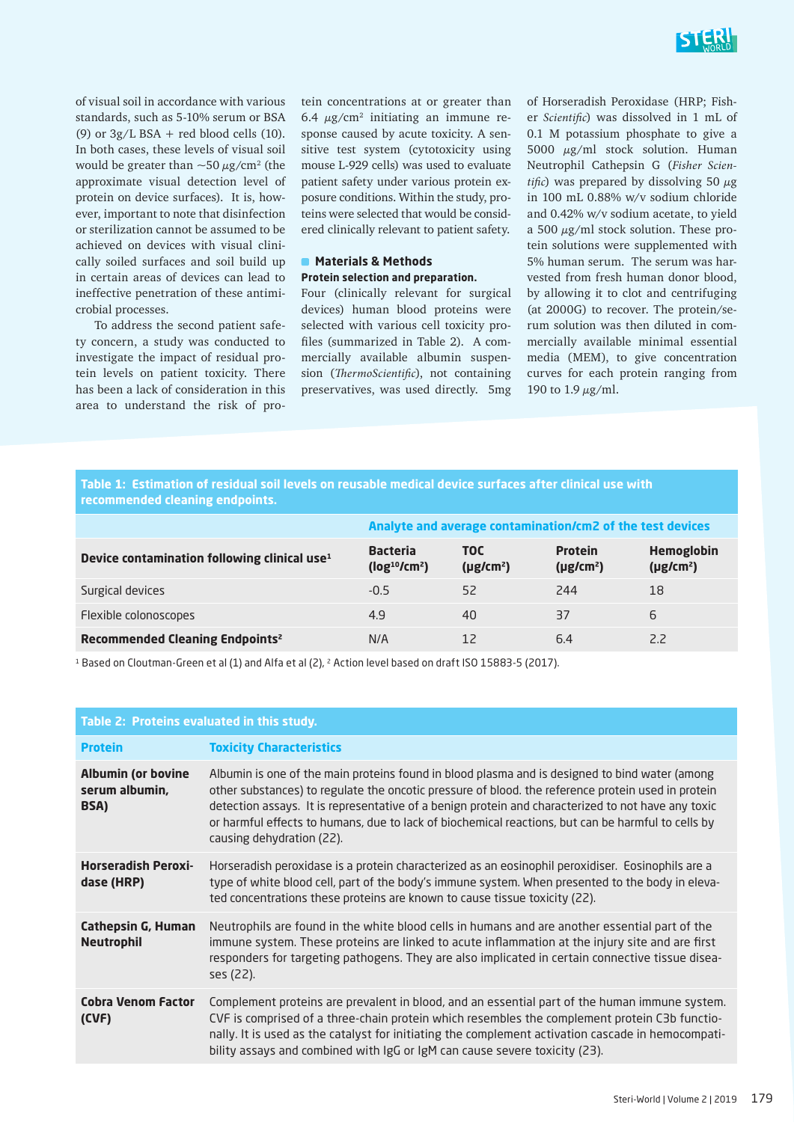

of visual soil in accordance with various standards, such as 5-10% serum or BSA (9) or  $3g/L$  BSA + red blood cells (10). In both cases, these levels of visual soil would be greater than  ${\sim}50\,\mu\text{g}/\text{cm}^2$  (the approximate visual detection level of protein on device surfaces). It is, however, important to note that disinfection or sterilization cannot be assumed to be achieved on devices with visual clinically soiled surfaces and soil build up in certain areas of devices can lead to ineffective penetration of these antimicrobial processes.

To address the second patient safety concern, a study was conducted to investigate the impact of residual protein levels on patient toxicity. There has been a lack of consideration in this area to understand the risk of protein concentrations at or greater than 6.4  $\mu$ g/cm<sup>2</sup> initiating an immune response caused by acute toxicity. A sensitive test system (cytotoxicity using mouse L-929 cells) was used to evaluate patient safety under various protein exposure conditions. Within the study, proteins were selected that would be considered clinically relevant to patient safety.

#### **Materials & Methods Protein selection and preparation.**

Four (clinically relevant for surgical devices) human blood proteins were selected with various cell toxicity profiles (summarized in Table 2). A commercially available albumin suspension (*ThermoScientific*), not containing preservatives, was used directly. 5mg of Horseradish Peroxidase (HRP; Fisher *Scientific*) was dissolved in 1 mL of 0.1 M potassium phosphate to give a 5000  $\mu$ g/ml stock solution. Human Neutrophil Cathepsin G (*Fisher Scientific*) was prepared by dissolving 50  $\mu$ g in 100 mL 0.88% w/v sodium chloride and 0.42% w/v sodium acetate, to yield a 500  $\mu$ g/ml stock solution. These protein solutions were supplemented with 5% human serum. The serum was harvested from fresh human donor blood, by allowing it to clot and centrifuging (at 2000G) to recover. The protein/serum solution was then diluted in commercially available minimal essential media (MEM), to give concentration curves for each protein ranging from 190 to 1.9  $\mu$ g/ml.

# **Table 1: Estimation of residual soil levels on reusable medical device surfaces after clinical use with recommended cleaning endpoints.**

|                                                          | Analyte and average contamination/cm2 of the test devices |                              |                                  |                              |
|----------------------------------------------------------|-----------------------------------------------------------|------------------------------|----------------------------------|------------------------------|
| Device contamination following clinical use <sup>1</sup> | <b>Bacteria</b><br>(log <sup>10</sup> /cm <sup>2</sup> )  | <b>TOC</b><br>$(\mu g/cm^2)$ | <b>Protein</b><br>$(\mu g/cm^2)$ | Hemoglobin<br>$(\mu g/cm^2)$ |
| Surgical devices                                         | $-0.5$                                                    | 52                           | 244                              | 18                           |
| Flexible colonoscopes                                    | 4.9                                                       | 40                           | 37                               | 6                            |
| Recommended Cleaning Endpoints <sup>2</sup>              | N/A                                                       | 12                           | 6.4                              | 2.2                          |

<sup>1</sup> Based on Cloutman-Green et al (1) and Alfa et al (2), <sup>2</sup> Action level based on draft ISO 15883-5 (2017).

# **Table 2: Proteins evaluated in this study.**

| <b>Protein</b>                                      | <b>Toxicity Characteristics</b>                                                                                                                                                                                                                                                                                                                                                                                                               |
|-----------------------------------------------------|-----------------------------------------------------------------------------------------------------------------------------------------------------------------------------------------------------------------------------------------------------------------------------------------------------------------------------------------------------------------------------------------------------------------------------------------------|
| <b>Albumin (or bovine</b><br>serum albumin,<br>BSA) | Albumin is one of the main proteins found in blood plasma and is designed to bind water (among<br>other substances) to regulate the oncotic pressure of blood. the reference protein used in protein<br>detection assays. It is representative of a benign protein and characterized to not have any toxic<br>or harmful effects to humans, due to lack of biochemical reactions, but can be harmful to cells by<br>causing dehydration (22). |
| <b>Horseradish Peroxi-</b><br>dase (HRP)            | Horseradish peroxidase is a protein characterized as an eosinophil peroxidiser. Eosinophils are a<br>type of white blood cell, part of the body's immune system. When presented to the body in eleva-<br>ted concentrations these proteins are known to cause tissue toxicity (22).                                                                                                                                                           |
| <b>Cathepsin G, Human</b><br><b>Neutrophil</b>      | Neutrophils are found in the white blood cells in humans and are another essential part of the<br>immune system. These proteins are linked to acute inflammation at the injury site and are first<br>responders for targeting pathogens. They are also implicated in certain connective tissue disea-<br>ses (22).                                                                                                                            |
| <b>Cobra Venom Factor</b><br>(CVF)                  | Complement proteins are prevalent in blood, and an essential part of the human immune system.<br>CVF is comprised of a three-chain protein which resembles the complement protein C3b functio-<br>nally. It is used as the catalyst for initiating the complement activation cascade in hemocompati-<br>bility assays and combined with IgG or IgM can cause severe toxicity (23).                                                            |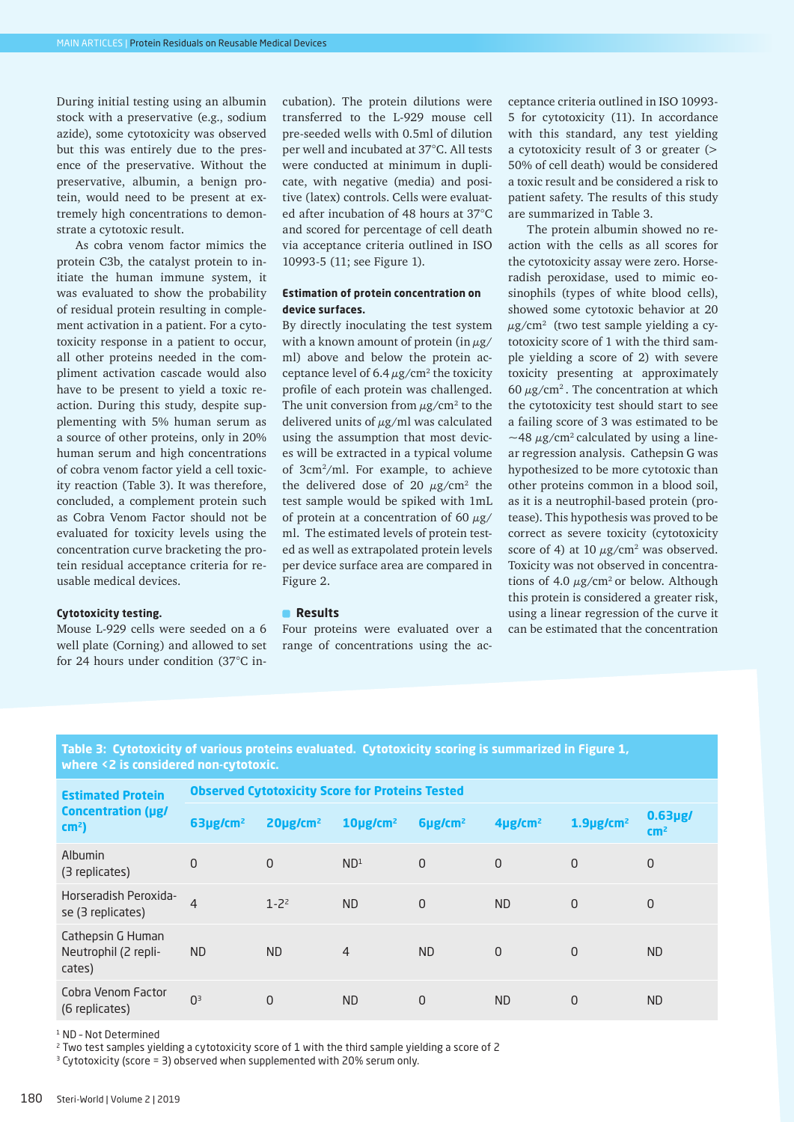During initial testing using an albumin stock with a preservative (e.g., sodium azide), some cytotoxicity was observed but this was entirely due to the presence of the preservative. Without the preservative, albumin, a benign protein, would need to be present at extremely high concentrations to demonstrate a cytotoxic result.

As cobra venom factor mimics the protein C3b, the catalyst protein to initiate the human immune system, it was evaluated to show the probability of residual protein resulting in complement activation in a patient. For a cytotoxicity response in a patient to occur, all other proteins needed in the compliment activation cascade would also have to be present to yield a toxic reaction. During this study, despite supplementing with 5% human serum as a source of other proteins, only in 20% human serum and high concentrations of cobra venom factor yield a cell toxicity reaction (Table 3). It was therefore, concluded, a complement protein such as Cobra Venom Factor should not be evaluated for toxicity levels using the concentration curve bracketing the protein residual acceptance criteria for reusable medical devices.

# **Cytotoxicity testing.**

Mouse L-929 cells were seeded on a 6 well plate (Corning) and allowed to set for 24 hours under condition (37°C incubation). The protein dilutions were transferred to the L-929 mouse cell pre-seeded wells with 0.5ml of dilution per well and incubated at 37°C. All tests were conducted at minimum in duplicate, with negative (media) and positive (latex) controls. Cells were evaluated after incubation of 48 hours at 37°C and scored for percentage of cell death via acceptance criteria outlined in ISO 10993-5 (11; see Figure 1).

## **Estimation of protein concentration on device surfaces.**

By directly inoculating the test system with a known amount of protein (in  $\mu$ g/ ml) above and below the protein acceptance level of  $6.4 \mu g/cm^2$  the toxicity profile of each protein was challenged. The unit conversion from  $\mu$ g/cm<sup>2</sup> to the delivered units of  $\mu$ g/ml was calculated using the assumption that most devices will be extracted in a typical volume of 3cm2/ml. For example, to achieve the delivered dose of 20  $\mu$ g/cm<sup>2</sup> the test sample would be spiked with 1mL of protein at a concentration of 60  $\mu$ g/ ml. The estimated levels of protein tested as well as extrapolated protein levels per device surface area are compared in Figure 2.

## **Results**

Four proteins were evaluated over a range of concentrations using the acceptance criteria outlined in ISO 10993- 5 for cytotoxicity (11). In accordance with this standard, any test yielding a cytotoxicity result of 3 or greater (> 50% of cell death) would be considered a toxic result and be considered a risk to patient safety. The results of this study are summarized in Table 3.

The protein albumin showed no reaction with the cells as all scores for the cytotoxicity assay were zero. Horseradish peroxidase, used to mimic eosinophils (types of white blood cells), showed some cytotoxic behavior at 20  $\mu$ g/cm<sup>2</sup> (two test sample yielding a cytotoxicity score of 1 with the third sample yielding a score of 2) with severe toxicity presenting at approximately 60  $\mu$ g/cm<sup>2</sup>. The concentration at which the cytotoxicity test should start to see a failing score of 3 was estimated to be  $\sim$ 48  $\mu$ g/cm<sup>2</sup> calculated by using a linear regression analysis. Cathepsin G was hypothesized to be more cytotoxic than other proteins common in a blood soil, as it is a neutrophil-based protein (protease). This hypothesis was proved to be correct as severe toxicity (cytotoxicity score of 4) at 10  $\mu$ g/cm<sup>2</sup> was observed. Toxicity was not observed in concentrations of 4.0  $\mu$ g/cm<sup>2</sup> or below. Although this protein is considered a greater risk, using a linear regression of the curve it can be estimated that the concentration

# **Table 3: Cytotoxicity of various proteins evaluated. Cytotoxicity scoring is summarized in Figure 1, where <2 is considered non-cytotoxic.**

| <b>Estimated Protein</b><br><b>Concentration (µg/</b><br>$cm2$ ) | <b>Observed Cytotoxicity Score for Proteins Tested</b> |                 |                         |                          |                          |                          |                               |  |
|------------------------------------------------------------------|--------------------------------------------------------|-----------------|-------------------------|--------------------------|--------------------------|--------------------------|-------------------------------|--|
|                                                                  | 63µg/cm <sup>2</sup>                                   | $20 \mu g/cm^2$ | $10$ µg/cm <sup>2</sup> | $6\mu$ g/cm <sup>2</sup> | $4\mu$ g/cm <sup>2</sup> | $1.9$ µg/cm <sup>2</sup> | $0.63$ µg/<br>cm <sup>2</sup> |  |
| Albumin<br>(3 replicates)                                        | $\Omega$                                               | $\Omega$        | ND <sup>1</sup>         | $\Omega$                 | $\Omega$                 | $\Omega$                 | $\overline{0}$                |  |
| Horseradish Peroxida-<br>se (3 replicates)                       | $\overline{4}$                                         | $1 - 2^2$       | <b>ND</b>               | $\Omega$                 | <b>ND</b>                | $\Omega$                 | $\overline{0}$                |  |
| Cathepsin G Human<br>Neutrophil (2 repli-<br>cates)              | <b>ND</b>                                              | <b>ND</b>       | $\overline{4}$          | <b>ND</b>                | $\Omega$                 | $\Omega$                 | <b>ND</b>                     |  |
| Cobra Venom Factor<br>(6 replicates)                             | 0 <sup>3</sup>                                         | $\Omega$        | <b>ND</b>               | $\overline{0}$           | <b>ND</b>                | $\Omega$                 | <b>ND</b>                     |  |

1 ND – Not Determined

2 Two test samples yielding a cytotoxicity score of 1 with the third sample yielding a score of 2

<sup>3</sup> Cytotoxicity (score = 3) observed when supplemented with 20% serum only.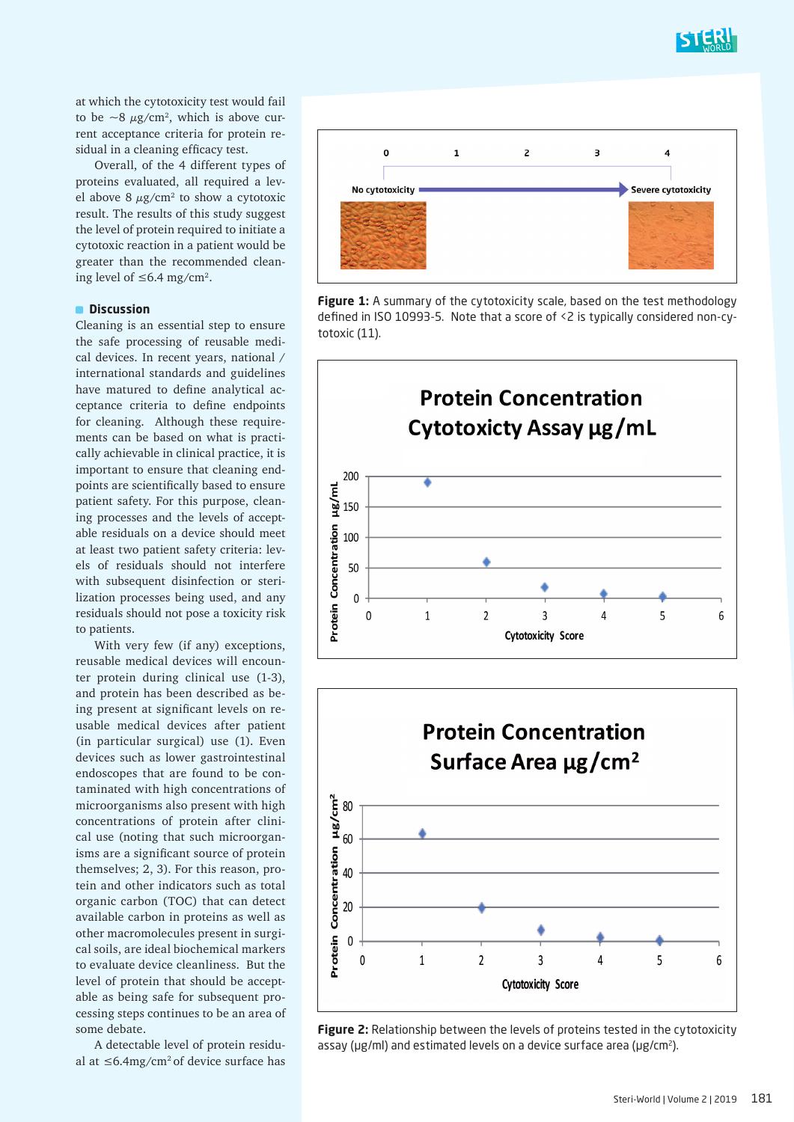

at which the cytotoxicity test would fail to be  $\sim$ 8  $\mu$ g/cm<sup>2</sup>, which is above current acceptance criteria for protein residual in a cleaning efficacy test.

Overall, of the 4 different types of proteins evaluated, all required a level above 8  $\mu$ g/cm $^2$  to show a cytotoxic result. The results of this study suggest the level of protein required to initiate a cytotoxic reaction in a patient would be greater than the recommended cleaning level of ≤6.4 mg/cm<sup>2</sup>.

# $\square$  Discussion

Cleaning is an essential step to ensure the safe processing of reusable medical devices. In recent years, national / international standards and guidelines have matured to define analytical acceptance criteria to define endpoints for cleaning. Although these requirements can be based on what is practically achievable in clinical practice, it is important to ensure that cleaning endpoints are scientifically based to ensure patient safety. For this purpose, cleaning processes and the levels of acceptable residuals on a device should meet at least two patient safety criteria: levels of residuals should not interfere with subsequent disinfection or sterilization processes being used, and any residuals should not pose a toxicity risk to patients.

With very few (if any) exceptions, reusable medical devices will encounter protein during clinical use (1-3), and protein has been described as being present at significant levels on reusable medical devices after patient (in particular surgical) use (1). Even devices such as lower gastrointestinal endoscopes that are found to be contaminated with high concentrations of microorganisms also present with high concentrations of protein after clinical use (noting that such microorganisms are a significant source of protein themselves; 2, 3). For this reason, protein and other indicators such as total organic carbon (TOC) that can detect available carbon in proteins as well as other macromolecules present in surgical soils, are ideal biochemical markers to evaluate device cleanliness. But the level of protein that should be acceptable as being safe for subsequent processing steps continues to be an area of some debate.

A detectable level of protein residual at ≤6.4mg/cm2 of device surface has









**Figure 2:** Relationship between the levels of proteins tested in the cytotoxicity assay ( $\mu$ g/ml) and estimated levels on a device surface area ( $\mu$ g/cm<sup>2</sup>).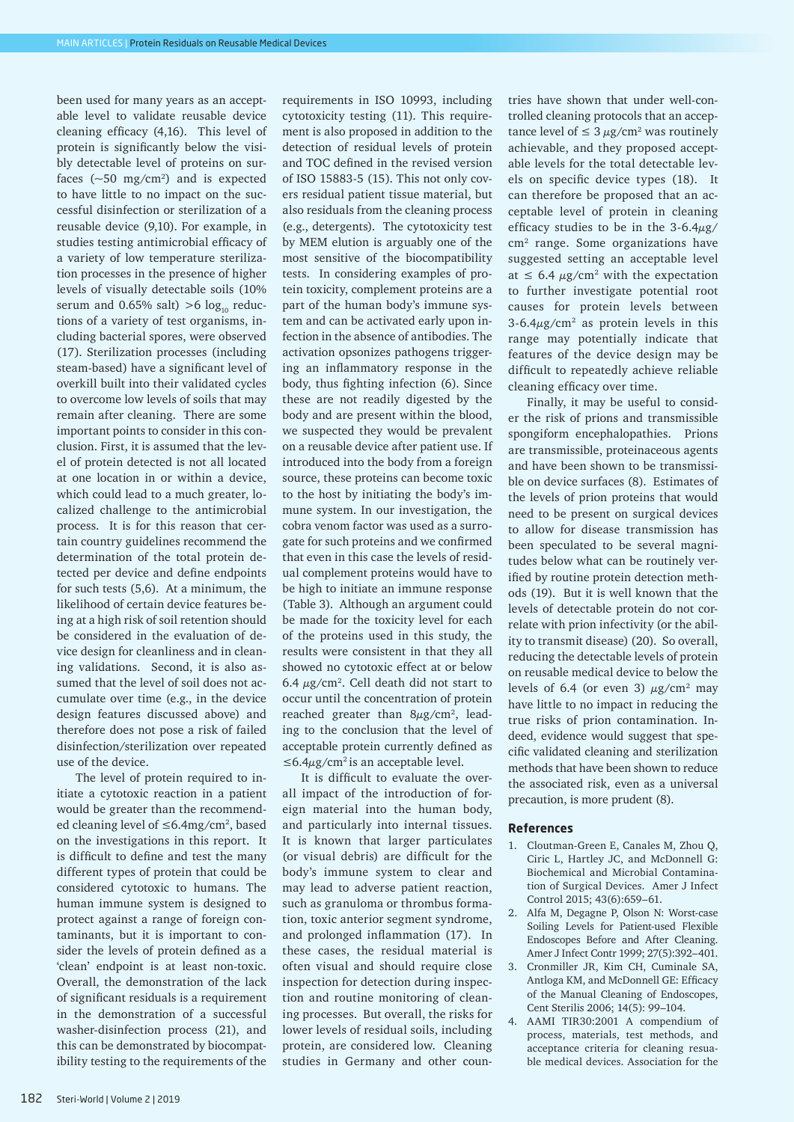been used for many years as an acceptable level to validate reusable device cleaning efficacy (4,16). This level of protein is significantly below the visibly detectable level of proteins on surfaces  $({\sim}50 \, \text{mg/cm}^2)$  and is expected to have little to no impact on the successful disinfection or sterilization of a reusable device (9,10). For example, in studies testing antimicrobial efficacy of a variety of low temperature sterilization processes in the presence of higher levels of visually detectable soils (10% serum and 0.65% salt)  $>6$  log<sub>10</sub> reductions of a variety of test organisms, including bacterial spores, were observed (17). Sterilization processes (including steam-based) have a significant level of overkill built into their validated cycles to overcome low levels of soils that may remain after cleaning. There are some important points to consider in this conclusion. First, it is assumed that the level of protein detected is not all located at one location in or within a device, which could lead to a much greater, localized challenge to the antimicrobial process. It is for this reason that certain country guidelines recommend the determination of the total protein detected per device and define endpoints for such tests (5,6). At a minimum, the likelihood of certain device features being at a high risk of soil retention should be considered in the evaluation of device design for cleanliness and in cleaning validations. Second, it is also assumed that the level of soil does not accumulate over time (e.g., in the device design features discussed above) and therefore does not pose a risk of failed disinfection/sterilization over repeated use of the device.

The level of protein required to initiate a cytotoxic reaction in a patient would be greater than the recommended cleaning level of ≤6.4mg/cm2, based on the investigations in this report. It is difficult to define and test the many different types of protein that could be considered cytotoxic to humans. The human immune system is designed to protect against a range of foreign contaminants, but it is important to consider the levels of protein defined as a 'clean' endpoint is at least non-toxic. Overall, the demonstration of the lack of significant residuals is a requirement in the demonstration of a successful washer-disinfection process (21), and this can be demonstrated by biocompatibility testing to the requirements of the

requirements in ISO 10993, including cytotoxicity testing (11). This requirement is also proposed in addition to the detection of residual levels of protein and TOC defined in the revised version of ISO 15883-5 (15). This not only covers residual patient tissue material, but also residuals from the cleaning process (e.g., detergents). The cytotoxicity test by MEM elution is arguably one of the most sensitive of the biocompatibility tests. In considering examples of protein toxicity, complement proteins are a part of the human body's immune system and can be activated early upon infection in the absence of antibodies. The activation opsonizes pathogens triggering an inflammatory response in the body, thus fighting infection (6). Since these are not readily digested by the body and are present within the blood, we suspected they would be prevalent on a reusable device after patient use. If introduced into the body from a foreign source, these proteins can become toxic to the host by initiating the body's immune system. In our investigation, the cobra venom factor was used as a surrogate for such proteins and we confirmed that even in this case the levels of residual complement proteins would have to be high to initiate an immune response (Table 3). Although an argument could be made for the toxicity level for each of the proteins used in this study, the results were consistent in that they all showed no cytotoxic effect at or below  $6.4 \mu$ g/cm<sup>2</sup>. Cell death did not start to occur until the concentration of protein reached greater than  $8\mu$ g/cm<sup>2</sup>, leading to the conclusion that the level of acceptable protein currently defined as  $≤6.4\mu$ g/cm<sup>2</sup> is an acceptable level.

It is difficult to evaluate the overall impact of the introduction of foreign material into the human body, and particularly into internal tissues. It is known that larger particulates (or visual debris) are difficult for the body's immune system to clear and may lead to adverse patient reaction, such as granuloma or thrombus formation, toxic anterior segment syndrome, and prolonged inflammation (17). In these cases, the residual material is often visual and should require close inspection for detection during inspection and routine monitoring of cleaning processes. But overall, the risks for lower levels of residual soils, including protein, are considered low. Cleaning studies in Germany and other countries have shown that under well-controlled cleaning protocols that an acceptance level of  $\leq 3 \mu$ g/cm<sup>2</sup> was routinely achievable, and they proposed acceptable levels for the total detectable levels on specific device types (18). It can therefore be proposed that an acceptable level of protein in cleaning efficacy studies to be in the  $3-6.4\mu$ g/ cm2 range. Some organizations have suggested setting an acceptable level at  $\leq$  6.4  $\mu$ g/cm<sup>2</sup> with the expectation to further investigate potential root causes for protein levels between  $3-6.4\mu g/cm^2$  as protein levels in this range may potentially indicate that features of the device design may be difficult to repeatedly achieve reliable cleaning efficacy over time.

Finally, it may be useful to consider the risk of prions and transmissible spongiform encephalopathies. Prions are transmissible, proteinaceous agents and have been shown to be transmissible on device surfaces (8). Estimates of the levels of prion proteins that would need to be present on surgical devices to allow for disease transmission has been speculated to be several magnitudes below what can be routinely verified by routine protein detection methods (19). But it is well known that the levels of detectable protein do not correlate with prion infectivity (or the ability to transmit disease) (20). So overall, reducing the detectable levels of protein on reusable medical device to below the levels of 6.4 (or even 3)  $\mu$ g/cm<sup>2</sup> may have little to no impact in reducing the true risks of prion contamination. Indeed, evidence would suggest that specific validated cleaning and sterilization methods that have been shown to reduce the associated risk, even as a universal precaution, is more prudent (8).

#### **References**

- 1. Cloutman-Green E, Canales M, Zhou Q, Ciric L, Hartley JC, and McDonnell G: Biochemical and Microbial Contamination of Surgical Devices. Amer J Infect Control 2015; 43(6):659–61.
- 2. Alfa M, Degagne P, Olson N: Worst-case Soiling Levels for Patient-used Flexible Endoscopes Before and After Cleaning. Amer J Infect Contr 1999; 27(5):392–401.
- 3. Cronmiller JR, Kim CH, Cuminale SA, Antloga KM, and McDonnell GE: Efficacy of the Manual Cleaning of Endoscopes, Cent Sterilis 2006; 14(5): 99–104.
- 4. AAMI TIR30:2001 A compendium of process, materials, test methods, and acceptance criteria for cleaning resuable medical devices. Association for the